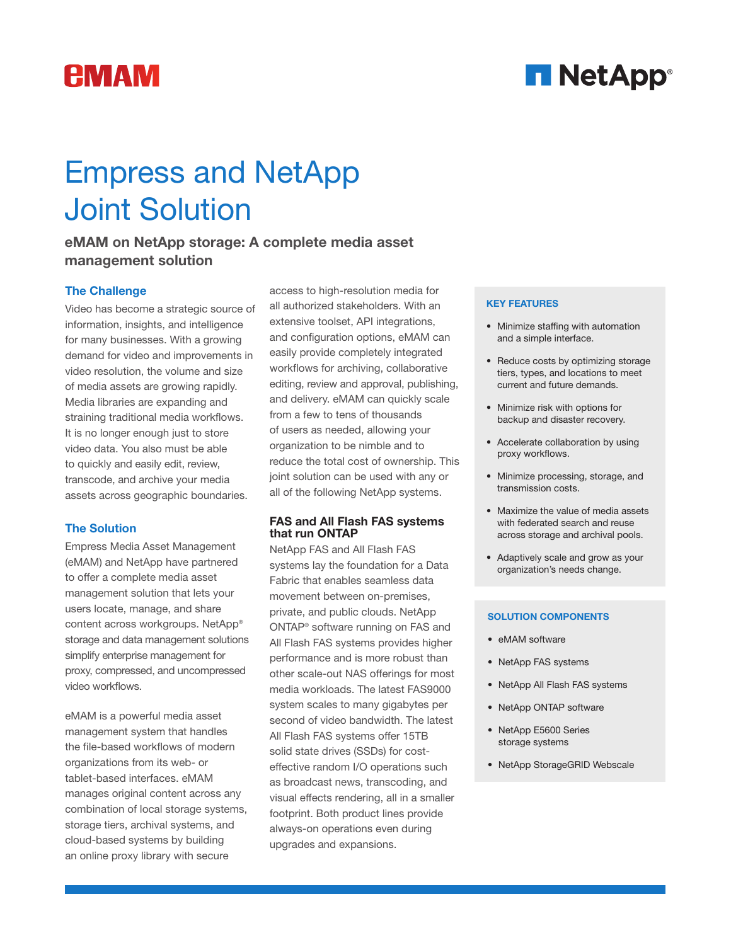## *<u>EMAM</u>*

## **H** NetApp<sup>®</sup>

# Empress and NetApp Joint Solution

### eMAM on NetApp storage: A complete media asset management solution

#### The Challenge

Video has become a strategic source of information, insights, and intelligence for many businesses. With a growing demand for video and improvements in video resolution, the volume and size of media assets are growing rapidly. Media libraries are expanding and straining traditional media workflows. It is no longer enough just to store video data. You also must be able to quickly and easily edit, review, transcode, and archive your media assets across geographic boundaries.

#### The Solution

Empress Media Asset Management (eMAM) and NetApp have partnered to offer a complete media asset management solution that lets your users locate, manage, and share content across workgroups. NetApp® storage and data management solutions simplify enterprise management for proxy, compressed, and uncompressed video workflows.

eMAM is a powerful media asset management system that handles the file-based workflows of modern organizations from its web- or tablet-based interfaces. eMAM manages original content across any combination of local storage systems, storage tiers, archival systems, and cloud-based systems by building an online proxy library with secure

access to high-resolution media for all authorized stakeholders. With an extensive toolset, API integrations, and configuration options, eMAM can easily provide completely integrated workflows for archiving, collaborative editing, review and approval, publishing, and delivery. eMAM can quickly scale from a few to tens of thousands of users as needed, allowing your organization to be nimble and to reduce the total cost of ownership. This joint solution can be used with any or all of the following NetApp systems.

#### FAS and All Flash FAS systems that run ONTAP

NetApp FAS and All Flash FAS systems lay the foundation for a Data Fabric that enables seamless data movement between on-premises, private, and public clouds. NetApp ONTAP® software running on FAS and All Flash FAS systems provides higher performance and is more robust than other scale-out NAS offerings for most media workloads. The latest FAS9000 system scales to many gigabytes per second of video bandwidth. The latest All Flash FAS systems offer 15TB solid state drives (SSDs) for costeffective random I/O operations such as broadcast news, transcoding, and visual effects rendering, all in a smaller footprint. Both product lines provide always-on operations even during upgrades and expansions.

#### KEY FEATURES

- Minimize staffing with automation and a simple interface.
- Reduce costs by optimizing storage tiers, types, and locations to meet current and future demands.
- Minimize risk with options for backup and disaster recovery.
- Accelerate collaboration by using proxy workflows.
- Minimize processing, storage, and transmission costs.
- Maximize the value of media assets with federated search and reuse across storage and archival pools.
- Adaptively scale and grow as your organization's needs change.

#### SOLUTION COMPONENTS

- eMAM software
- NetApp FAS systems
- NetApp All Flash FAS systems
- NetApp ONTAP software
- NetApp E5600 Series storage systems
- NetApp StorageGRID Webscale